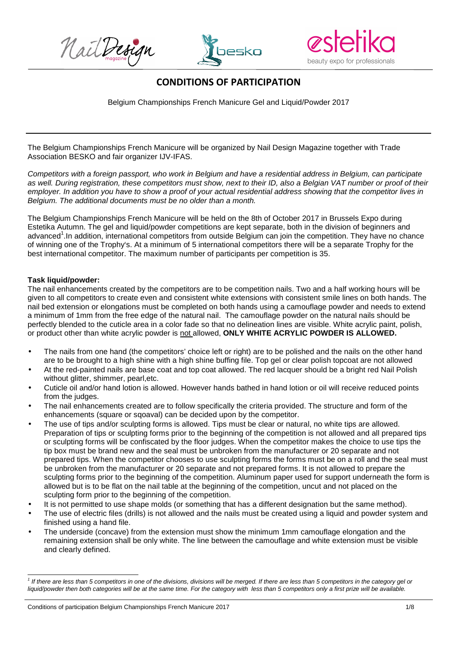NailDesign





# **CONDITIONS OF PARTICIPATION**

Belgium Championships French Manicure Gel and Liquid/Powder 2017

The Belgium Championships French Manicure will be organized by Nail Design Magazine together with Trade Association BESKO and fair organizer IJV-IFAS.

Competitors with a foreign passport, who work in Belgium and have a residential address in Belgium, can participate as well. During registration, these competitors must show, next to their ID, also a Belgian VAT number or proof of their employer. In addition you have to show a proof of your actual residential address showing that the competitor lives in Belgium. The additional documents must be no older than a month.

The Belgium Championships French Manicure will be held on the 8th of October 2017 in Brussels Expo during Estetika Autumn. The gel and liquid/powder competitions are kept separate, both in the division of beginners and advanced<sup>1</sup>. In addition, international competitors from outside Belgium can join the competition. They have no chance of winning one of the Trophy's. At a minimum of 5 international competitors there will be a separate Trophy for the best international competitor. The maximum number of participants per competition is 35.

## **Task liquid/powder:**

The nail enhancements created by the competitors are to be competition nails. Two and a half working hours will be given to all competitors to create even and consistent white extensions with consistent smile lines on both hands. The nail bed extension or elongations must be completed on both hands using a camouflage powder and needs to extend a minimum of 1mm from the free edge of the natural nail. The camouflage powder on the natural nails should be perfectly blended to the cuticle area in a color fade so that no delineation lines are visible. White acrylic paint, polish, or product other than white acrylic powder is not allowed, **ONLY WHITE ACRYLIC POWDER IS ALLOWED.** 

- The nails from one hand (the competitors' choice left or right) are to be polished and the nails on the other hand are to be brought to a high shine with a high shine buffing file. Top gel or clear polish topcoat are not allowed
- At the red-painted nails are base coat and top coat allowed. The red lacquer should be a bright red Nail Polish without glitter, shimmer, pearl,etc.
- Cuticle oil and/or hand lotion is allowed. However hands bathed in hand lotion or oil will receive reduced points from the judges.
- The nail enhancements created are to follow specifically the criteria provided. The structure and form of the enhancements (square or sqoaval) can be decided upon by the competitor.
- The use of tips and/or sculpting forms is allowed. Tips must be clear or natural, no white tips are allowed. Preparation of tips or sculpting forms prior to the beginning of the competition is not allowed and all prepared tips or sculpting forms will be confiscated by the floor judges. When the competitor makes the choice to use tips the tip box must be brand new and the seal must be unbroken from the manufacturer or 20 separate and not prepared tips. When the competitor chooses to use sculpting forms the forms must be on a roll and the seal must be unbroken from the manufacturer or 20 separate and not prepared forms. It is not allowed to prepare the sculpting forms prior to the beginning of the competition. Aluminum paper used for support underneath the form is allowed but is to be flat on the nail table at the beginning of the competition, uncut and not placed on the sculpting form prior to the beginning of the competition.
- It is not permitted to use shape molds (or something that has a different designation but the same method).
- The use of electric files (drills) is not allowed and the nails must be created using a liquid and powder system and finished using a hand file.
- The underside (concave) from the extension must show the minimum 1mm camouflage elongation and the remaining extension shall be only white. The line between the camouflage and white extension must be visible and clearly defined.

Conditions of participation Belgium Championships French Manicure 2017 1/8

 1 If there are less than 5 competitors in one of the divisions, divisions will be merged. If there are less than 5 competitors in the category gel or liquid/powder then both categories will be at the same time. For the category with less than 5 competitors only a first prize will be available.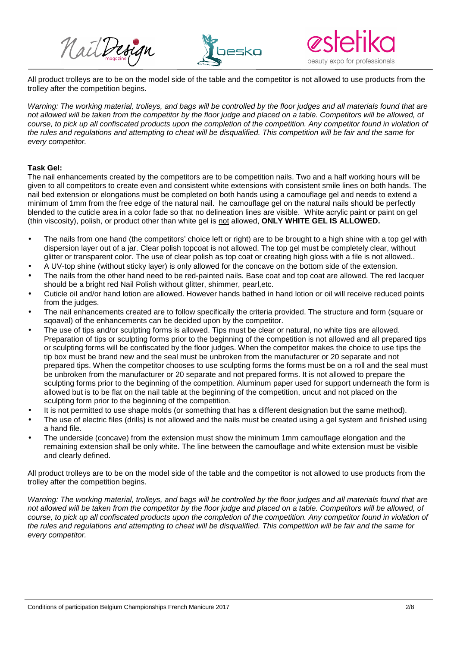





All product trolleys are to be on the model side of the table and the competitor is not allowed to use products from the trolley after the competition begins.

Warning: The working material, trolleys, and bags will be controlled by the floor judges and all materials found that are not allowed will be taken from the competitor by the floor judge and placed on a table. Competitors will be allowed, of course, to pick up all confiscated products upon the completion of the competition. Any competitor found in violation of the rules and regulations and attempting to cheat will be disqualified. This competition will be fair and the same for every competitor.

# **Task Gel:**

The nail enhancements created by the competitors are to be competition nails. Two and a half working hours will be given to all competitors to create even and consistent white extensions with consistent smile lines on both hands. The nail bed extension or elongations must be completed on both hands using a camouflage gel and needs to extend a minimum of 1mm from the free edge of the natural nail. he camouflage gel on the natural nails should be perfectly blended to the cuticle area in a color fade so that no delineation lines are visible. White acrylic paint or paint on gel (thin viscosity), polish, or product other than white gel is not allowed, **ONLY WHITE GEL IS ALLOWED.**

- The nails from one hand (the competitors' choice left or right) are to be brought to a high shine with a top gel with dispersion layer out of a jar. Clear polish topcoat is not allowed. The top gel must be completely clear, without glitter or transparent color. The use of clear polish as top coat or creating high gloss with a file is not allowed..
- A UV-top shine (without sticky layer) is only allowed for the concave on the bottom side of the extension.
- The nails from the other hand need to be red-painted nails. Base coat and top coat are allowed. The red lacquer should be a bright red Nail Polish without glitter, shimmer, pearl,etc.
- Cuticle oil and/or hand lotion are allowed. However hands bathed in hand lotion or oil will receive reduced points from the judges.
- The nail enhancements created are to follow specifically the criteria provided. The structure and form (square or sqoaval) of the enhancements can be decided upon by the competitor.
- The use of tips and/or sculpting forms is allowed. Tips must be clear or natural, no white tips are allowed. Preparation of tips or sculpting forms prior to the beginning of the competition is not allowed and all prepared tips or sculpting forms will be confiscated by the floor judges. When the competitor makes the choice to use tips the tip box must be brand new and the seal must be unbroken from the manufacturer or 20 separate and not prepared tips. When the competitor chooses to use sculpting forms the forms must be on a roll and the seal must be unbroken from the manufacturer or 20 separate and not prepared forms. It is not allowed to prepare the sculpting forms prior to the beginning of the competition. Aluminum paper used for support underneath the form is allowed but is to be flat on the nail table at the beginning of the competition, uncut and not placed on the sculpting form prior to the beginning of the competition.
- It is not permitted to use shape molds (or something that has a different designation but the same method).
- The use of electric files (drills) is not allowed and the nails must be created using a gel system and finished using a hand file.
- The underside (concave) from the extension must show the minimum 1mm camouflage elongation and the remaining extension shall be only white. The line between the camouflage and white extension must be visible and clearly defined.

All product trolleys are to be on the model side of the table and the competitor is not allowed to use products from the trolley after the competition begins.

Warning: The working material, trolleys, and bags will be controlled by the floor judges and all materials found that are not allowed will be taken from the competitor by the floor judge and placed on a table. Competitors will be allowed, of course, to pick up all confiscated products upon the completion of the competition. Any competitor found in violation of the rules and regulations and attempting to cheat will be disqualified. This competition will be fair and the same for every competitor.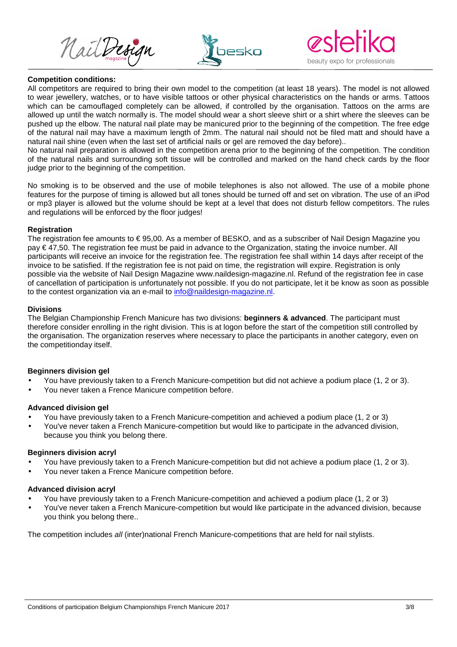





#### **Competition conditions:**

All competitors are required to bring their own model to the competition (at least 18 years). The model is not allowed to wear jewellery, watches, or to have visible tattoos or other physical characteristics on the hands or arms. Tattoos which can be camouflaged completely can be allowed, if controlled by the organisation. Tattoos on the arms are allowed up until the watch normally is. The model should wear a short sleeve shirt or a shirt where the sleeves can be pushed up the elbow. The natural nail plate may be manicured prior to the beginning of the competition. The free edge of the natural nail may have a maximum length of 2mm. The natural nail should not be filed matt and should have a natural nail shine (even when the last set of artificial nails or gel are removed the day before)..

No natural nail preparation is allowed in the competition arena prior to the beginning of the competition. The condition of the natural nails and surrounding soft tissue will be controlled and marked on the hand check cards by the floor judge prior to the beginning of the competition.

No smoking is to be observed and the use of mobile telephones is also not allowed. The use of a mobile phone features for the purpose of timing is allowed but all tones should be turned off and set on vibration. The use of an iPod or mp3 player is allowed but the volume should be kept at a level that does not disturb fellow competitors. The rules and regulations will be enforced by the floor judges!

#### **Registration**

The registration fee amounts to € 95,00. As a member of BESKO, and as a subscriber of Nail Design Magazine you pay € 47,50. The registration fee must be paid in advance to the Organization, stating the invoice number. All participants will receive an invoice for the registration fee. The registration fee shall within 14 days after receipt of the invoice to be satisfied. If the registration fee is not paid on time, the registration will expire. Registration is only possible via the website of Nail Design Magazine www.naildesign-magazine.nl. Refund of the registration fee in case of cancellation of participation is unfortunately not possible. If you do not participate, let it be know as soon as possible to the contest organization via an e-mail to info@naildesign-magazine.nl.

## **Divisions**

The Belgian Championship French Manicure has two divisions: **beginners & advanced**. The participant must therefore consider enrolling in the right division. This is at logon before the start of the competition still controlled by the organisation. The organization reserves where necessary to place the participants in another category, even on the competitionday itself.

# **Beginners division gel**

- You have previously taken to a French Manicure-competition but did not achieve a podium place (1, 2 or 3).
- You never taken a Frence Manicure competition before.

#### **Advanced division gel**

- You have previously taken to a French Manicure-competition and achieved a podium place (1, 2 or 3)
- You've never taken a French Manicure-competition but would like to participate in the advanced division, because you think you belong there.

#### **Beginners division acryl**

- You have previously taken to a French Manicure-competition but did not achieve a podium place (1, 2 or 3).
- You never taken a Frence Manicure competition before.

#### **Advanced division acryl**

- You have previously taken to a French Manicure-competition and achieved a podium place (1, 2 or 3)
- You've never taken a French Manicure-competition but would like participate in the advanced division, because you think you belong there..

The competition includes all (inter)national French Manicure-competitions that are held for nail stylists.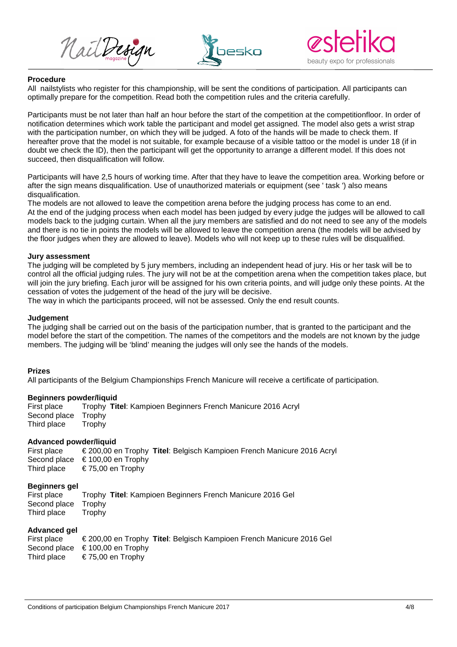





#### **Procedure**

All nailstylists who register for this championship, will be sent the conditions of participation. All participants can optimally prepare for the competition. Read both the competition rules and the criteria carefully.

Participants must be not later than half an hour before the start of the competition at the competitionfloor. In order of notification determines which work table the participant and model get assigned. The model also gets a wrist strap with the participation number, on which they will be judged. A foto of the hands will be made to check them. If hereafter prove that the model is not suitable, for example because of a visible tattoo or the model is under 18 (if in doubt we check the ID), then the participant will get the opportunity to arrange a different model. If this does not succeed, then disqualification will follow.

Participants will have 2,5 hours of working time. After that they have to leave the competition area. Working before or after the sign means disqualification. Use of unauthorized materials or equipment (see ' task ') also means disqualification.

The models are not allowed to leave the competition arena before the judging process has come to an end. At the end of the judging process when each model has been judged by every judge the judges will be allowed to call models back to the judging curtain. When all the jury members are satisfied and do not need to see any of the models and there is no tie in points the models will be allowed to leave the competition arena (the models will be advised by the floor judges when they are allowed to leave). Models who will not keep up to these rules will be disqualified.

## **Jury assessment**

The judging will be completed by 5 jury members, including an independent head of jury. His or her task will be to control all the official judging rules. The jury will not be at the competition arena when the competition takes place, but will join the jury briefing. Each juror will be assigned for his own criteria points, and will judge only these points. At the cessation of votes the judgement of the head of the jury will be decisive.

The way in which the participants proceed, will not be assessed. Only the end result counts.

## **Judgement**

The judging shall be carried out on the basis of the participation number, that is granted to the participant and the model before the start of the competition. The names of the competitors and the models are not known by the judge members. The judging will be 'blind' meaning the judges will only see the hands of the models.

#### **Prizes**

All participants of the Belgium Championships French Manicure will receive a certificate of participation.

#### **Beginners powder/liquid**

First place Trophy **Titel**: Kampioen Beginners French Manicure 2016 Acryl Second place Trophy Third place Trophy

#### **Advanced powder/liquid**

First place € 200,00 en Trophy **Titel**: Belgisch Kampioen French Manicure 2016 Acryl Second place € 100,00 en Trophy Third place  $\epsilon$  75.00 en Trophy

#### **Beginners gel**

First place Trophy **Titel**: Kampioen Beginners French Manicure 2016 Gel Second place Trophy Third place Trophy

# **Advanced gel**

| First place | $\epsilon$ 200,00 en Trophy Titel: Belgisch Kampioen French Manicure 2016 Gel |  |
|-------------|-------------------------------------------------------------------------------|--|
|             | Second place $\epsilon$ 100,00 en Trophy                                      |  |
| Third place | € 75,00 en Trophy                                                             |  |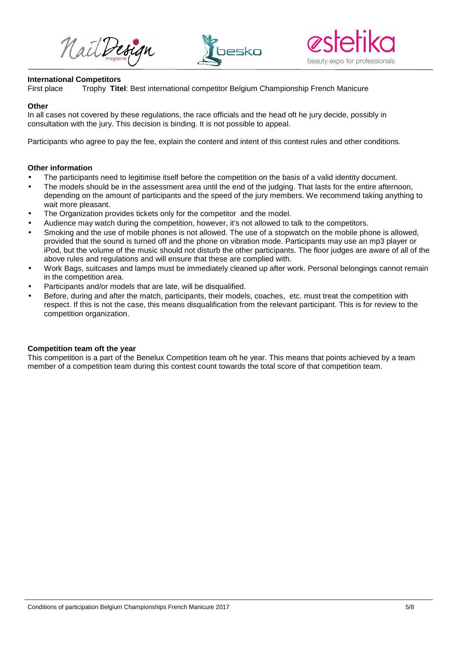Nailbergn





#### **International Competitors**

First place Trophy **Titel**: Best international competitor Belgium Championship French Manicure

#### **Other**

In all cases not covered by these regulations, the race officials and the head oft he jury decide, possibly in consultation with the jury. This decision is binding. It is not possible to appeal.

Participants who agree to pay the fee, explain the content and intent of this contest rules and other conditions.

## **Other information**

- The participants need to legitimise itself before the competition on the basis of a valid identity document.
- The models should be in the assessment area until the end of the judging. That lasts for the entire afternoon, depending on the amount of participants and the speed of the jury members. We recommend taking anything to wait more pleasant.
- The Organization provides tickets only for the competitor and the model.
- Audience may watch during the competition, however, it's not allowed to talk to the competitors.
- Smoking and the use of mobile phones is not allowed. The use of a stopwatch on the mobile phone is allowed, provided that the sound is turned off and the phone on vibration mode. Participants may use an mp3 player or iPod, but the volume of the music should not disturb the other participants. The floor judges are aware of all of the above rules and regulations and will ensure that these are complied with.
- Work Bags, suitcases and lamps must be immediately cleaned up after work. Personal belongings cannot remain in the competition area.
- Participants and/or models that are late, will be disqualified.
- Before, during and after the match, participants, their models, coaches, etc. must treat the competition with respect. If this is not the case, this means disqualification from the relevant participant. This is for review to the competition organization.

#### **Competition team oft the year**

This competition is a part of the Benelux Competition team oft he year. This means that points achieved by a team member of a competition team during this contest count towards the total score of that competition team.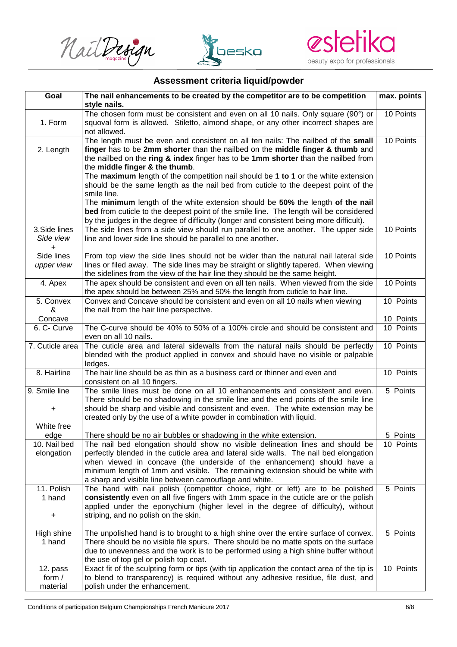





# **Assessment criteria liquid/powder**

| Goal                             | The nail enhancements to be created by the competitor are to be competition                                                                                                                                                                                                                                                                                                                                                                                                            | max. points |
|----------------------------------|----------------------------------------------------------------------------------------------------------------------------------------------------------------------------------------------------------------------------------------------------------------------------------------------------------------------------------------------------------------------------------------------------------------------------------------------------------------------------------------|-------------|
| 1. Form                          | style nails.<br>The chosen form must be consistent and even on all 10 nails. Only square (90°) or<br>squoval form is allowed. Stiletto, almond shape, or any other incorrect shapes are<br>not allowed.                                                                                                                                                                                                                                                                                | 10 Points   |
| 2. Length                        | The length must be even and consistent on all ten nails: The nailbed of the small<br>finger has to be 2mm shorter than the nailbed on the middle finger & thumb and<br>the nailbed on the ring & index finger has to be 1mm shorter than the nailbed from<br>the middle finger & the thumb.<br>The maximum length of the competition nail should be 1 to 1 or the white extension<br>should be the same length as the nail bed from cuticle to the deepest point of the<br>smile line. | 10 Points   |
| 3.Side lines                     | The minimum length of the white extension should be 50% the length of the nail<br>bed from cuticle to the deepest point of the smile line. The length will be considered<br>by the judges in the degree of difficulty (longer and consistent being more difficult).<br>The side lines from a side view should run parallel to one another. The upper side                                                                                                                              | 10 Points   |
| Side view<br>$\ddot{}$           | line and lower side line should be parallel to one another.                                                                                                                                                                                                                                                                                                                                                                                                                            |             |
| Side lines<br>upper view         | From top view the side lines should not be wider than the natural nail lateral side<br>lines or filed away. The side lines may be straight or slightly tapered. When viewing<br>the sidelines from the view of the hair line they should be the same height.                                                                                                                                                                                                                           | 10 Points   |
| 4. Apex                          | The apex should be consistent and even on all ten nails. When viewed from the side<br>the apex should be between 25% and 50% the length from cuticle to hair line.                                                                                                                                                                                                                                                                                                                     | 10 Points   |
| 5. Convex<br>&                   | Convex and Concave should be consistent and even on all 10 nails when viewing<br>the nail from the hair line perspective.                                                                                                                                                                                                                                                                                                                                                              | 10 Points   |
| Concave                          |                                                                                                                                                                                                                                                                                                                                                                                                                                                                                        | 10 Points   |
| 6. C- Curve                      | The C-curve should be 40% to 50% of a 100% circle and should be consistent and<br>even on all 10 nails.                                                                                                                                                                                                                                                                                                                                                                                | 10 Points   |
| 7. Cuticle area                  | The cuticle area and lateral sidewalls from the natural nails should be perfectly<br>blended with the product applied in convex and should have no visible or palpable<br>ledges.                                                                                                                                                                                                                                                                                                      | 10 Points   |
| 8. Hairline                      | The hair line should be as thin as a business card or thinner and even and<br>consistent on all 10 fingers.                                                                                                                                                                                                                                                                                                                                                                            | 10 Points   |
| 9. Smile line<br>+<br>White free | The smile lines must be done on all 10 enhancements and consistent and even.<br>There should be no shadowing in the smile line and the end points of the smile line<br>should be sharp and visible and consistent and even. The white extension may be<br>created only by the use of a white powder in combination with liquid.                                                                                                                                                        | 5 Points    |
| edge                             | There should be no air bubbles or shadowing in the white extension.                                                                                                                                                                                                                                                                                                                                                                                                                    | 5 Points    |
| 10. Nail bed<br>elongation       | The nail bed elongation should show no visible delineation lines and should be<br>perfectly blended in the cuticle area and lateral side walls. The nail bed elongation<br>when viewed in concave (the underside of the enhancement) should have a<br>minimum length of 1mm and visible. The remaining extension should be white with<br>a sharp and visible line between camouflage and white.                                                                                        | 10 Points   |
| 11. Polish<br>1 hand<br>+        | The hand with nail polish (competitor choice, right or left) are to be polished<br>consistently even on all five fingers with 1mm space in the cuticle are or the polish<br>applied under the eponychium (higher level in the degree of difficulty), without<br>striping, and no polish on the skin.                                                                                                                                                                                   | 5 Points    |
| High shine<br>1 hand             | The unpolished hand is to brought to a high shine over the entire surface of convex.<br>There should be no visible file spurs. There should be no matte spots on the surface<br>due to unevenness and the work is to be performed using a high shine buffer without<br>the use of top gel or polish top coat.                                                                                                                                                                          | 5 Points    |
| 12. pass<br>form $/$<br>material | Exact fit of the sculpting form or tips (with tip application the contact area of the tip is<br>to blend to transparency) is required without any adhesive residue, file dust, and<br>polish under the enhancement.                                                                                                                                                                                                                                                                    | 10 Points   |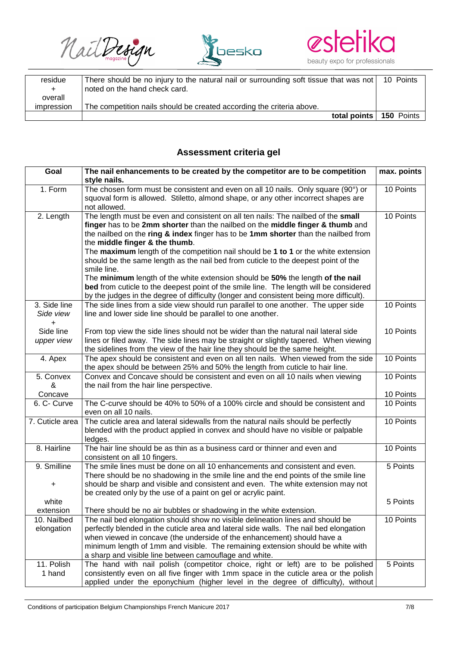NailDesign





| residue    | There should be no injury to the natural nail or surrounding soft tissue that was not | 10 Points         |
|------------|---------------------------------------------------------------------------------------|-------------------|
| $+$        | noted on the hand check card.                                                         |                   |
| overall    |                                                                                       |                   |
| impression | The competition nails should be created according the criteria above.                 |                   |
|            | total points                                                                          | <b>150 Points</b> |

# **Assessment criteria gel**

| Goal                   | The nail enhancements to be created by the competitor are to be competition<br>style nails.                                                                | max. points |
|------------------------|------------------------------------------------------------------------------------------------------------------------------------------------------------|-------------|
| 1. Form                | The chosen form must be consistent and even on all 10 nails. Only square (90°) or                                                                          | 10 Points   |
|                        | squoval form is allowed. Stiletto, almond shape, or any other incorrect shapes are                                                                         |             |
|                        | not allowed.                                                                                                                                               |             |
| 2. Length              | The length must be even and consistent on all ten nails: The nailbed of the small                                                                          | 10 Points   |
|                        | finger has to be 2mm shorter than the nailbed on the middle finger & thumb and                                                                             |             |
|                        | the nailbed on the ring & index finger has to be 1mm shorter than the nailbed from                                                                         |             |
|                        | the middle finger & the thumb.                                                                                                                             |             |
|                        | The maximum length of the competition nail should be 1 to 1 or the white extension                                                                         |             |
|                        | should be the same length as the nail bed from cuticle to the deepest point of the                                                                         |             |
|                        | smile line.                                                                                                                                                |             |
|                        | The minimum length of the white extension should be 50% the length of the nail                                                                             |             |
|                        | bed from cuticle to the deepest point of the smile line. The length will be considered                                                                     |             |
|                        | by the judges in the degree of difficulty (longer and consistent being more difficult).                                                                    |             |
| 3. Side line           | The side lines from a side view should run parallel to one another. The upper side                                                                         | 10 Points   |
| Side view<br>$\ddot{}$ | line and lower side line should be parallel to one another.                                                                                                |             |
| Side line              | From top view the side lines should not be wider than the natural nail lateral side                                                                        | 10 Points   |
| upper view             | lines or filed away. The side lines may be straight or slightly tapered. When viewing                                                                      |             |
|                        | the sidelines from the view of the hair line they should be the same height.                                                                               |             |
| 4. Apex                | The apex should be consistent and even on all ten nails. When viewed from the side                                                                         | 10 Points   |
|                        | the apex should be between 25% and 50% the length from cuticle to hair line.                                                                               |             |
| 5. Convex              | Convex and Concave should be consistent and even on all 10 nails when viewing                                                                              | 10 Points   |
| &                      | the nail from the hair line perspective.                                                                                                                   |             |
| Concave                |                                                                                                                                                            | 10 Points   |
| 6. C- Curve            | The C-curve should be 40% to 50% of a 100% circle and should be consistent and<br>even on all 10 nails.                                                    | 10 Points   |
| 7. Cuticle area        | The cuticle area and lateral sidewalls from the natural nails should be perfectly                                                                          | 10 Points   |
|                        | blended with the product applied in convex and should have no visible or palpable                                                                          |             |
|                        | ledges.                                                                                                                                                    |             |
| 8. Hairline            | The hair line should be as thin as a business card or thinner and even and                                                                                 | 10 Points   |
|                        | consistent on all 10 fingers.                                                                                                                              |             |
| 9. Smilline            | The smile lines must be done on all 10 enhancements and consistent and even.                                                                               | 5 Points    |
|                        | There should be no shadowing in the smile line and the end points of the smile line                                                                        |             |
| +                      | should be sharp and visible and consistent and even. The white extension may not                                                                           |             |
|                        | be created only by the use of a paint on gel or acrylic paint.                                                                                             |             |
| white                  |                                                                                                                                                            | 5 Points    |
| extension              | There should be no air bubbles or shadowing in the white extension.                                                                                        |             |
| 10. Nailbed            | The nail bed elongation should show no visible delineation lines and should be                                                                             | 10 Points   |
| elongation             | perfectly blended in the cuticle area and lateral side walls. The nail bed elongation                                                                      |             |
|                        | when viewed in concave (the underside of the enhancement) should have a<br>minimum length of 1mm and visible. The remaining extension should be white with |             |
|                        | a sharp and visible line between camouflage and white.                                                                                                     |             |
| 11. Polish             | The hand with nail polish (competitor choice, right or left) are to be polished                                                                            | 5 Points    |
| 1 hand                 | consistently even on all five finger with 1mm space in the cuticle area or the polish                                                                      |             |
|                        | applied under the eponychium (higher level in the degree of difficulty), without                                                                           |             |